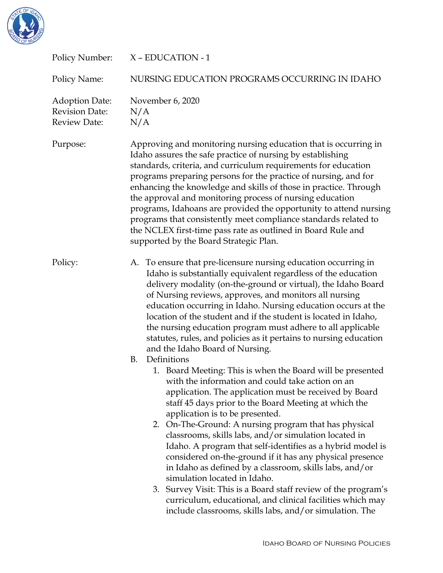

| Policy Number:                                                 | X - EDUCATION - 1                                                                                                                                                                                                                                                                                                                                                                                                                                                                                                                                                                                                                                                                                                                                                                                                                  |
|----------------------------------------------------------------|------------------------------------------------------------------------------------------------------------------------------------------------------------------------------------------------------------------------------------------------------------------------------------------------------------------------------------------------------------------------------------------------------------------------------------------------------------------------------------------------------------------------------------------------------------------------------------------------------------------------------------------------------------------------------------------------------------------------------------------------------------------------------------------------------------------------------------|
| Policy Name:                                                   | NURSING EDUCATION PROGRAMS OCCURRING IN IDAHO                                                                                                                                                                                                                                                                                                                                                                                                                                                                                                                                                                                                                                                                                                                                                                                      |
| <b>Adoption Date:</b><br><b>Revision Date:</b><br>Review Date: | November 6, 2020<br>N/A<br>N/A                                                                                                                                                                                                                                                                                                                                                                                                                                                                                                                                                                                                                                                                                                                                                                                                     |
| Purpose:                                                       | Approving and monitoring nursing education that is occurring in<br>Idaho assures the safe practice of nursing by establishing<br>standards, criteria, and curriculum requirements for education<br>programs preparing persons for the practice of nursing, and for<br>enhancing the knowledge and skills of those in practice. Through<br>the approval and monitoring process of nursing education<br>programs, Idahoans are provided the opportunity to attend nursing<br>programs that consistently meet compliance standards related to<br>the NCLEX first-time pass rate as outlined in Board Rule and<br>supported by the Board Strategic Plan.                                                                                                                                                                               |
| Policy:                                                        | A. To ensure that pre-licensure nursing education occurring in<br>Idaho is substantially equivalent regardless of the education<br>delivery modality (on-the-ground or virtual), the Idaho Board<br>of Nursing reviews, approves, and monitors all nursing<br>education occurring in Idaho. Nursing education occurs at the<br>location of the student and if the student is located in Idaho,<br>the nursing education program must adhere to all applicable<br>statutes, rules, and policies as it pertains to nursing education<br>and the Idaho Board of Nursing.                                                                                                                                                                                                                                                              |
|                                                                | <b>B.</b><br>Definitions<br>1. Board Meeting: This is when the Board will be presented<br>with the information and could take action on an<br>application. The application must be received by Board<br>staff 45 days prior to the Board Meeting at which the<br>application is to be presented.<br>2. On-The-Ground: A nursing program that has physical<br>classrooms, skills labs, and/or simulation located in<br>Idaho. A program that self-identifies as a hybrid model is<br>considered on-the-ground if it has any physical presence<br>in Idaho as defined by a classroom, skills labs, and/or<br>simulation located in Idaho.<br>3. Survey Visit: This is a Board staff review of the program's<br>curriculum, educational, and clinical facilities which may<br>include classrooms, skills labs, and/or simulation. The |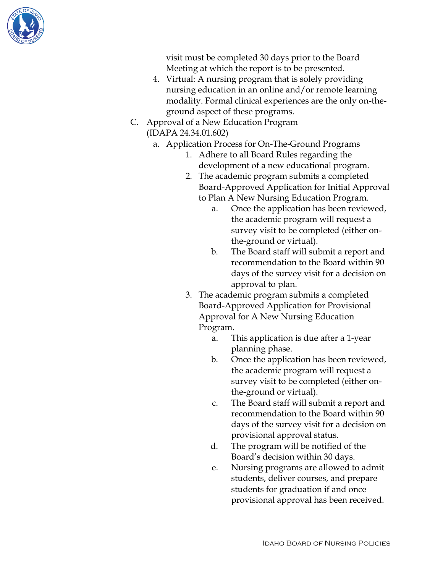

visit must be completed 30 days prior to the Board Meeting at which the report is to be presented.

- 4. Virtual: A nursing program that is solely providing nursing education in an online and/or remote learning modality. Formal clinical experiences are the only on-theground aspect of these programs.
- C. Approval of a New Education Program (IDAPA 24.34.01.602)
	- a. Application Process for On-The-Ground Programs
		- 1. Adhere to all Board Rules regarding the development of a new educational program.
		- 2. The academic program submits a completed Board-Approved Application for Initial Approval to Plan A New Nursing Education Program.
			- a. Once the application has been reviewed, the academic program will request a survey visit to be completed (either onthe-ground or virtual).
			- b. The Board staff will submit a report and recommendation to the Board within 90 days of the survey visit for a decision on approval to plan.
		- 3. The academic program submits a completed Board-Approved Application for Provisional Approval for A New Nursing Education Program.
			- a. This application is due after a 1-year planning phase.
			- b. Once the application has been reviewed, the academic program will request a survey visit to be completed (either onthe-ground or virtual).
			- c. The Board staff will submit a report and recommendation to the Board within 90 days of the survey visit for a decision on provisional approval status.
			- d. The program will be notified of the Board's decision within 30 days.
			- e. Nursing programs are allowed to admit students, deliver courses, and prepare students for graduation if and once provisional approval has been received.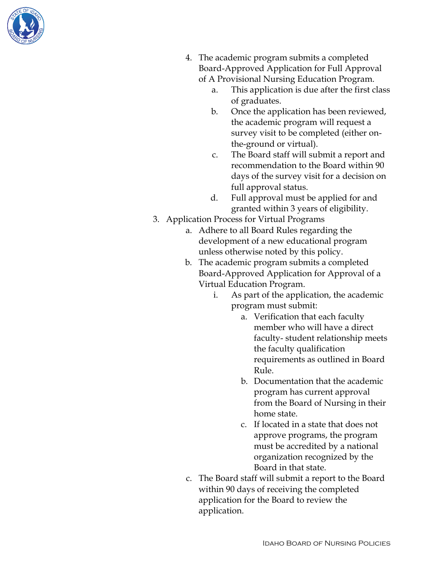

- 4. The academic program submits a completed Board-Approved Application for Full Approval of A Provisional Nursing Education Program.
	- a. This application is due after the first class of graduates.
	- b. Once the application has been reviewed, the academic program will request a survey visit to be completed (either onthe-ground or virtual).
	- c. The Board staff will submit a report and recommendation to the Board within 90 days of the survey visit for a decision on full approval status.
	- d. Full approval must be applied for and granted within 3 years of eligibility.
- 3. Application Process for Virtual Programs
	- a. Adhere to all Board Rules regarding the development of a new educational program unless otherwise noted by this policy.
	- b. The academic program submits a completed Board-Approved Application for Approval of a Virtual Education Program.
		- i. As part of the application, the academic program must submit:
			- a. Verification that each faculty member who will have a direct faculty- student relationship meets the faculty qualification requirements as outlined in Board Rule.
			- b. Documentation that the academic program has current approval from the Board of Nursing in their home state.
			- c. If located in a state that does not approve programs, the program must be accredited by a national organization recognized by the Board in that state.
	- c. The Board staff will submit a report to the Board within 90 days of receiving the completed application for the Board to review the application.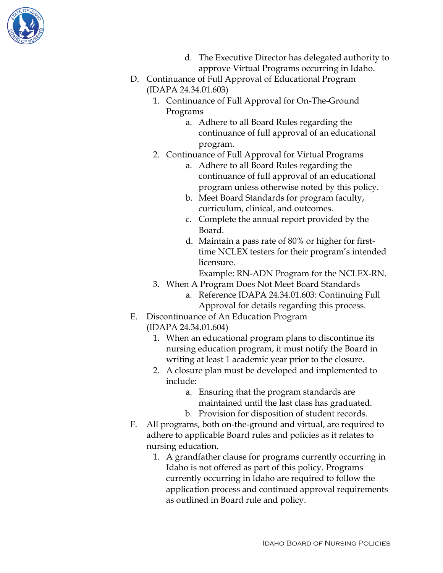

- d. The Executive Director has delegated authority to approve Virtual Programs occurring in Idaho.
- D. Continuance of Full Approval of Educational Program (IDAPA 24.34.01.603)
	- 1. Continuance of Full Approval for On-The-Ground Programs
		- a. Adhere to all Board Rules regarding the continuance of full approval of an educational program.
	- 2. Continuance of Full Approval for Virtual Programs
		- a. Adhere to all Board Rules regarding the continuance of full approval of an educational program unless otherwise noted by this policy.
		- b. Meet Board Standards for program faculty, curriculum, clinical, and outcomes.
		- c. Complete the annual report provided by the Board.
		- d. Maintain a pass rate of 80% or higher for firsttime NCLEX testers for their program's intended licensure.

Example: RN-ADN Program for the NCLEX-RN.

- 3. When A Program Does Not Meet Board Standards
	- a. Reference IDAPA 24.34.01.603: Continuing Full Approval for details regarding this process.
- E. Discontinuance of An Education Program (IDAPA 24.34.01.604)
	- 1. When an educational program plans to discontinue its nursing education program, it must notify the Board in writing at least 1 academic year prior to the closure.
	- 2. A closure plan must be developed and implemented to include:
		- a. Ensuring that the program standards are maintained until the last class has graduated.
		- b. Provision for disposition of student records.
- F. All programs, both on-the-ground and virtual, are required to adhere to applicable Board rules and policies as it relates to nursing education.
	- 1. A grandfather clause for programs currently occurring in Idaho is not offered as part of this policy. Programs currently occurring in Idaho are required to follow the application process and continued approval requirements as outlined in Board rule and policy.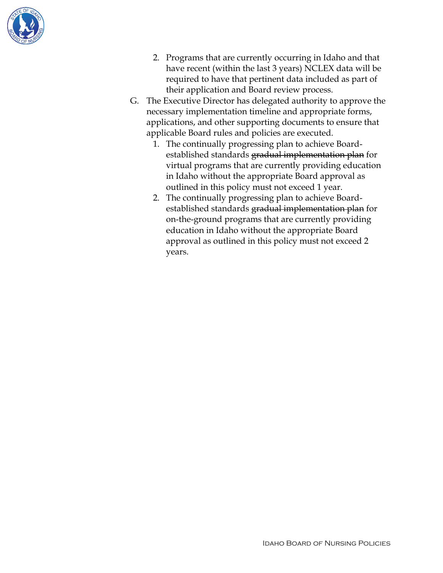

- 2. Programs that are currently occurring in Idaho and that have recent (within the last 3 years) NCLEX data will be required to have that pertinent data included as part of their application and Board review process.
- G. The Executive Director has delegated authority to approve the necessary implementation timeline and appropriate forms, applications, and other supporting documents to ensure that applicable Board rules and policies are executed.
	- 1. The continually progressing plan to achieve Boardestablished standards gradual implementation plan for virtual programs that are currently providing education in Idaho without the appropriate Board approval as outlined in this policy must not exceed 1 year.
	- 2. The continually progressing plan to achieve Boardestablished standards gradual implementation plan for on-the-ground programs that are currently providing education in Idaho without the appropriate Board approval as outlined in this policy must not exceed 2 years.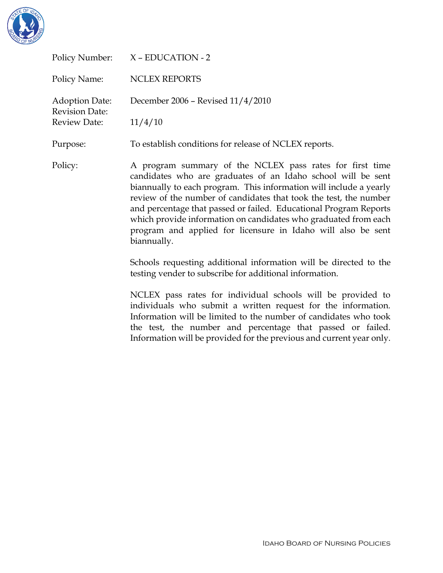

| Policy Number:                                 | X - EDUCATION - 2                                                                                                                                                                                                                                                                                                                                                                                                                                                                          |
|------------------------------------------------|--------------------------------------------------------------------------------------------------------------------------------------------------------------------------------------------------------------------------------------------------------------------------------------------------------------------------------------------------------------------------------------------------------------------------------------------------------------------------------------------|
| Policy Name:                                   | <b>NCLEX REPORTS</b>                                                                                                                                                                                                                                                                                                                                                                                                                                                                       |
| <b>Adoption Date:</b><br><b>Revision Date:</b> | December 2006 - Revised 11/4/2010                                                                                                                                                                                                                                                                                                                                                                                                                                                          |
| Review Date:                                   | 11/4/10                                                                                                                                                                                                                                                                                                                                                                                                                                                                                    |
| Purpose:                                       | To establish conditions for release of NCLEX reports.                                                                                                                                                                                                                                                                                                                                                                                                                                      |
| Policy:                                        | A program summary of the NCLEX pass rates for first time<br>candidates who are graduates of an Idaho school will be sent<br>biannually to each program. This information will include a yearly<br>review of the number of candidates that took the test, the number<br>and percentage that passed or failed. Educational Program Reports<br>which provide information on candidates who graduated from each<br>program and applied for licensure in Idaho will also be sent<br>biannually. |
|                                                | Schools requesting additional information will be directed to the<br>testing vender to subscribe for additional information.                                                                                                                                                                                                                                                                                                                                                               |
|                                                | NCLEX pass rates for individual schools will be provided to<br>individuals who submit a written request for the information.                                                                                                                                                                                                                                                                                                                                                               |

Information will be limited to the number of candidates who took the test, the number and percentage that passed or failed. Information will be provided for the previous and current year only.